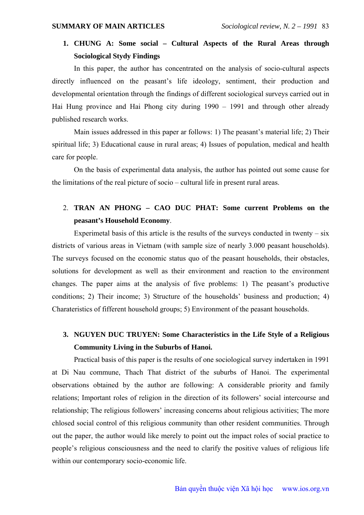## **1. CHUNG A: Some social – Cultural Aspects of the Rural Areas through Sociological Stydy Findings**

In this paper, the author has concentrated on the analysis of socio-cultural aspects directly influenced on the peasant's life ideology, sentiment, their production and developmental orientation through the findings of different sociological surveys carried out in Hai Hung province and Hai Phong city during 1990 – 1991 and through other already published research works.

Main issues addressed in this paper ar follows: 1) The peasant's material life; 2) Their spiritual life; 3) Educational cause in rural areas; 4) Issues of population, medical and health care for people.

On the basis of experimental data analysis, the author has pointed out some cause for the limitations of the real picture of socio – cultural life in present rural areas.

## 2. **TRAN AN PHONG – CAO DUC PHAT: Some current Problems on the peasant's Household Economy**.

Experimetal basis of this article is the results of the surveys conducted in twenty  $-\overline{\text{six}}$ districts of various areas in Vietnam (with sample size of nearly 3.000 peasant households). The surveys focused on the economic status quo of the peasant households, their obstacles, solutions for development as well as their environment and reaction to the environment changes. The paper aims at the analysis of five problems: 1) The peasant's productive conditions; 2) Their income; 3) Structure of the households' business and production; 4) Charateristics of fifferent household groups; 5) Environment of the peasant households.

## **3. NGUYEN DUC TRUYEN: Some Characteristics in the Life Style of a Religious Community Living in the Suburbs of Hanoi.**

Practical basis of this paper is the results of one sociological survey indertaken in 1991 at Di Nau commune, Thach That district of the suburbs of Hanoi. The experimental observations obtained by the author are following: A considerable priority and family relations; Important roles of religion in the direction of its followers' social intercourse and relationship; The religious followers' increasing concerns about religious activities; The more chlosed social control of this religious community than other resident communities. Through out the paper, the author would like merely to point out the impact roles of social practice to people's religious consciousness and the need to clarify the positive values of religious life within our contemporary socio-economic life.